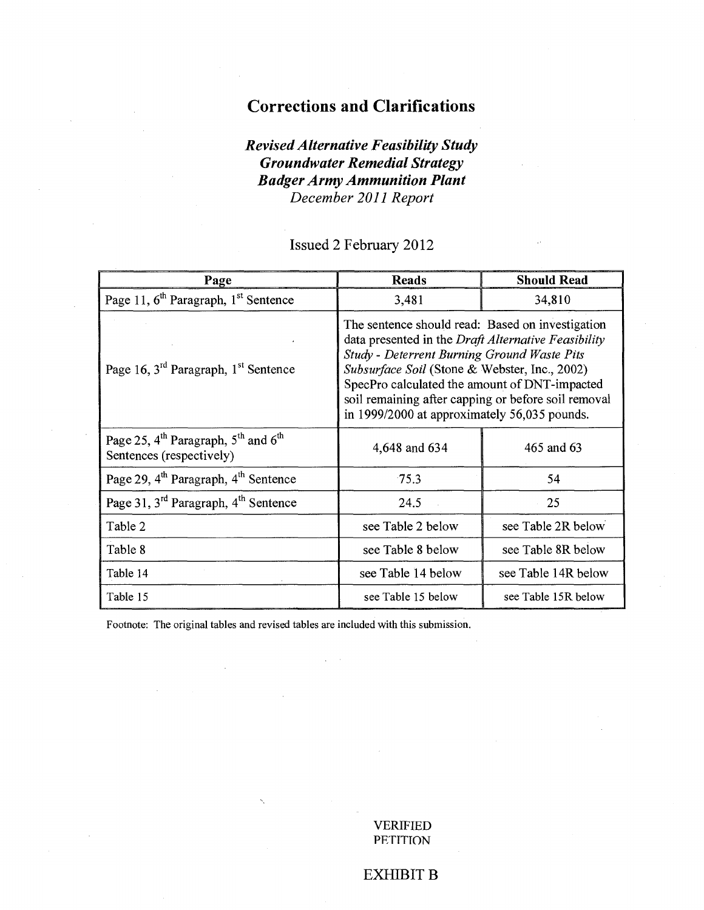## **Corrections and Clarifications**

## *Revised Alternative Feasibility Study Groundwater Remedial Strategy Badger Army Ammunition Plant December 2011 Report*

Issued 2 February 2012

| Page                                                                                                | <b>Reads</b>                                                                                                                                                                                                                                                                                                                                                           | <b>Should Read</b>  |  |  |
|-----------------------------------------------------------------------------------------------------|------------------------------------------------------------------------------------------------------------------------------------------------------------------------------------------------------------------------------------------------------------------------------------------------------------------------------------------------------------------------|---------------------|--|--|
| Page 11, 6 <sup>th</sup> Paragraph, 1 <sup>st</sup> Sentence                                        | 3,481                                                                                                                                                                                                                                                                                                                                                                  | 34,810              |  |  |
| Page 16, 3 <sup>rd</sup> Paragraph, 1 <sup>st</sup> Sentence                                        | The sentence should read: Based on investigation<br>data presented in the <i>Draft Alternative Feasibility</i><br>Study - Deterrent Burning Ground Waste Pits<br>Subsurface Soil (Stone & Webster, Inc., 2002)<br>SpecPro calculated the amount of DNT-impacted<br>soil remaining after capping or before soil removal<br>in 1999/2000 at approximately 56,035 pounds. |                     |  |  |
| Page 25, $4^{\text{th}}$ Paragraph, $5^{\text{th}}$ and $6^{\text{th}}$<br>Sentences (respectively) | 4,648 and 634                                                                                                                                                                                                                                                                                                                                                          | 465 and 63          |  |  |
| Page 29, 4 <sup>th</sup> Paragraph, 4 <sup>th</sup> Sentence                                        | 75.3                                                                                                                                                                                                                                                                                                                                                                   | 54                  |  |  |
| Page 31, 3 <sup>rd</sup> Paragraph, 4 <sup>th</sup> Sentence                                        | 24.5                                                                                                                                                                                                                                                                                                                                                                   | 25                  |  |  |
| Table 2                                                                                             | see Table 2 below                                                                                                                                                                                                                                                                                                                                                      | see Table 2R below  |  |  |
| Table 8                                                                                             | see Table 8 below                                                                                                                                                                                                                                                                                                                                                      | see Table 8R below  |  |  |
| Table 14                                                                                            | see Table 14 below                                                                                                                                                                                                                                                                                                                                                     | see Table 14R below |  |  |
| Table 15                                                                                            | see Table 15 below                                                                                                                                                                                                                                                                                                                                                     | see Table 15R below |  |  |

Footnote: The original tables and revised tables are included with this submission.

VERIFIED **PETITION** 

## EXHIBIT B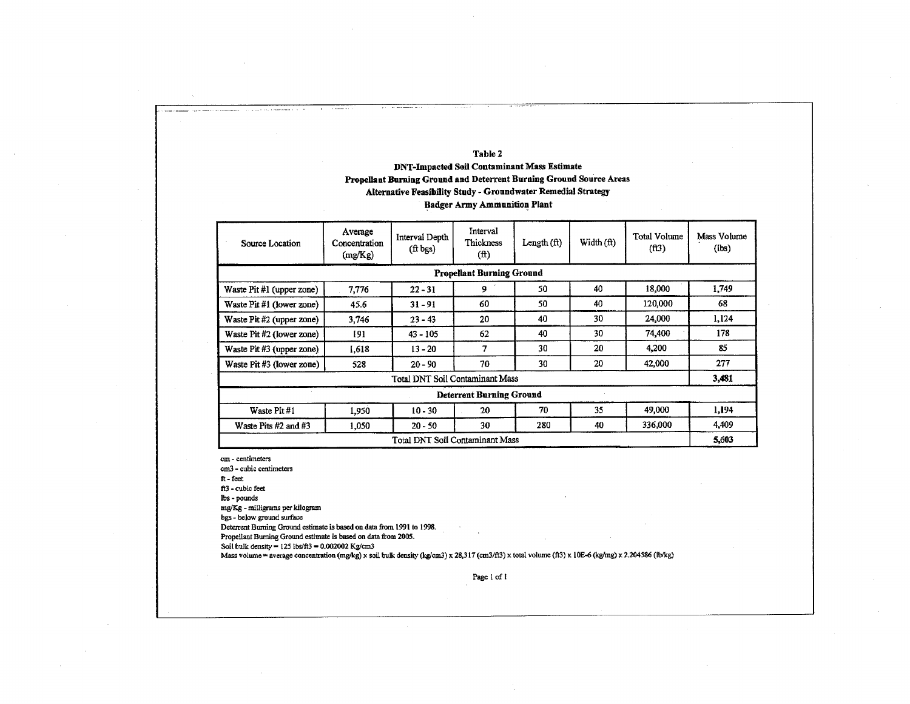### **Table 2**

### **DNT-Impacted Soil Contaminant Mass Estimate Propellant Burning Ground and Deterrent Burning Ground Source Areas Alternative Feasibility Study - Groundwater Remedial Strategy Badger Army Ammunition Plant**

| Source Location                                                          | Average<br>Concentration<br>(mg/Kg) | Interval Depth<br>$(ft$ bgs)    | Interval<br>Thickness<br>(f <sup>t</sup> ) | Length $(ft)$ | Width $(ft)$ | <b>Total Volume</b><br>(f13) | Mass Volume<br>(lbs) |  |  |
|--------------------------------------------------------------------------|-------------------------------------|---------------------------------|--------------------------------------------|---------------|--------------|------------------------------|----------------------|--|--|
| <b>Propellant Burning Ground</b>                                         |                                     |                                 |                                            |               |              |                              |                      |  |  |
| Waste Pit #1 (upper zone)                                                | 7,776                               | $22 - 31$                       | 9                                          | 50            | 40           | 18.000                       | 1,749                |  |  |
| Waste Pit #1 (lower zone)                                                | 45.6                                | $31 - 91$                       | 60                                         | 50            | 40           | 120,000                      | 68                   |  |  |
| Waste Pit #2 (upper zone)                                                | 3,746                               | $23 - 43$                       | 20                                         | 40            | 30           | 24.000                       | 1,124                |  |  |
| Waste Pit #2 (lower zone)                                                | 191                                 | $43 - 105$                      | 62                                         | 40            | 30           | 74,400                       | 178                  |  |  |
| Waste Pit #3 (upper zone)                                                | 1.618                               | $13 - 20$                       | 7                                          | 30            | 20           | 4.200                        | 85                   |  |  |
| Waste Pit #3 (lower zone)                                                | 528                                 | $20 - 90$                       | 70                                         | 30            | 20           | 42,000                       | 277                  |  |  |
|                                                                          |                                     | Total DNT Soil Contaminant Mass |                                            |               |              |                              | 3,481                |  |  |
|                                                                          |                                     |                                 | <b>Deterrent Burning Ground</b>            |               |              |                              |                      |  |  |
| Waste Pit #1                                                             | 1.950                               | $10 - 30$                       | 20                                         | 70            | 35           | 49,000                       | 1,194                |  |  |
| 336,000<br>280<br>40<br>30<br>Waste Pits #2 and #3<br>$20 - 50$<br>1,050 |                                     |                                 |                                            |               |              |                              |                      |  |  |
|                                                                          |                                     | Total DNT Soil Contaminant Mass |                                            |               |              |                              | 5.603                |  |  |

cm - centimeters

cm3 - cubic centimeters

ft - feet

ft3 - cubic feet

lbs - pounds

mg/Kg - milligrams per kilogram

bgs - below ground surface

Deterrent Burning Ground estimate is based on data from 1991 to 1998.

Propellant Burning Ground estimate is based on data from 2005.

Soil bulk density =  $125$  lbs/ft3 = 0.002002 Kg/cm3

Mass volume = average concentration (mg/kg) x soil bulk density (kg/cm3) x 28,317 (cm3/ft3) x total volume (ft3) x 10E-6 (kg/mg) x 2.204586 (lb/kg)

Page 1 of I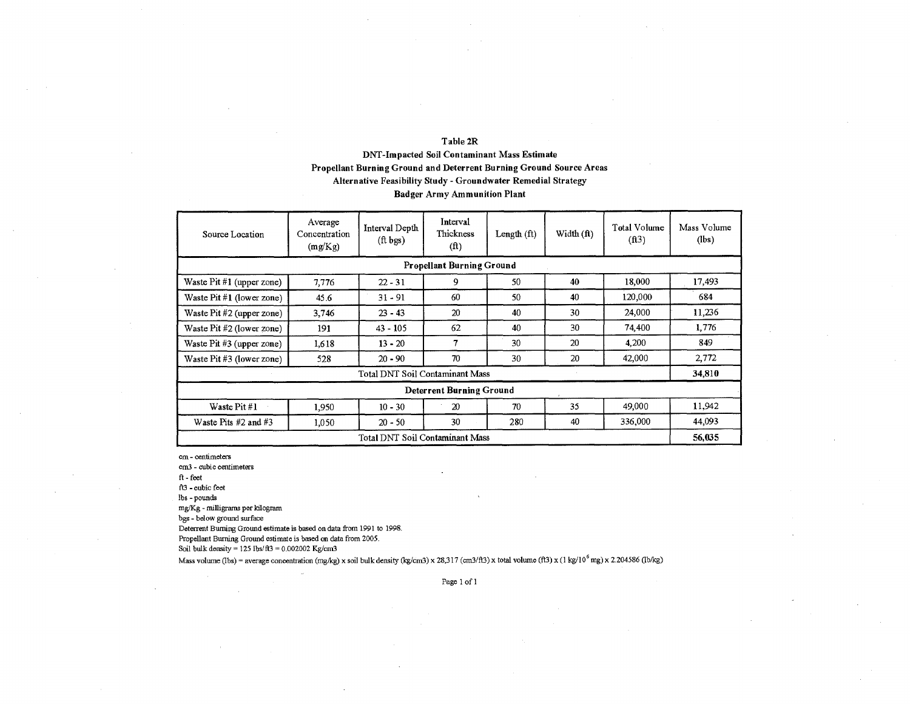### **Table 2R**

### **DNT-Impacted Soil Contaminant** Mass **Estimate Propellant Burning Ground and Deterrent Burning Ground Source Areas Alternative Feasibility Study - Groundwater Remedial Strategy**

### **Badger Army Ammunition Plant**

| Source Location                 | Average<br>Concentration<br>(mg/Kg) | Interval Depth<br>$(ft$ bgs)    | Interval<br>Thickness<br>(f <sup>t</sup> ) | Length (ft) | Width (ft) | Total Volume<br>(ft3) | Mass Volume<br>(lbs) |  |  |  |
|---------------------------------|-------------------------------------|---------------------------------|--------------------------------------------|-------------|------------|-----------------------|----------------------|--|--|--|
|                                 |                                     |                                 | <b>Propellant Burning Ground</b>           |             |            |                       |                      |  |  |  |
| Waste $Pit \#1$ (upper zone)    | 7,776                               | $22 - 31$                       | 9                                          | 50          | 40         | 18,000                | 17,493               |  |  |  |
| Waste $Pit \#1$ (lower zone)    | 45.6                                | $31 - 91$                       | 60                                         | 50          | 40         | 120,000               | 684                  |  |  |  |
| Waste Pit #2 (upper zone)       | 3,746                               | $23 - 43$                       | 20                                         | 40          | 30         | 24,000                | 11.236               |  |  |  |
| Waste $Pit \#2$ (lower zone)    | 191                                 | $43 - 105$                      | 62                                         | 40          | 30         | 74.400                | 1.776                |  |  |  |
| Waste Pit $#3$ (upper zone)     | 1,618                               | $13 - 20$                       | 7                                          | 30          | 20         | 4.200                 | 849                  |  |  |  |
| Waste Pit #3 (lower zone)       | 528                                 | $20 - 90$                       | 70                                         | 30          | 20         | 42,000                | 2,772                |  |  |  |
|                                 |                                     | Total DNT Soil Contaminant Mass |                                            |             |            |                       | 34,810               |  |  |  |
|                                 |                                     |                                 | Deterrent Burning Ground                   |             |            |                       |                      |  |  |  |
| Waste Pit #1                    | 1,950                               | $10 - 30$                       | 20                                         | 70          | 35         | 49,000                | 11,942               |  |  |  |
| Waste Pits $#2$ and $#3$        | 1,050                               | $20 - 50$                       | 30                                         | 280         | 40         | 336,000               | 44.093               |  |  |  |
| Total DNT Soil Contaminant Mass |                                     |                                 |                                            |             |            |                       |                      |  |  |  |

cm - centimeters

cm3 - cubic centimeters

ft-feet

63 - cubic feet

lbs - pounds

mg/Kg - milligrams per kilogram

bgs - below ground surface

Deterrent Burning Ground estimate is based on data from 1991 to 1998.

Propellant Burning Ground estimate is based on data from 2005.

Soil bulk density =  $125$  lbs/ $ft3 = 0.002002$  Kg/cm3

Mass volume (lbs) = average concentration (mg/kg) x soil bulk density (kg/cm3) x 28,317 (cm3/ft3) x total volume (ft3) x (1 kg/10<sup>6</sup> mg) x 2.204586 (lb/kg)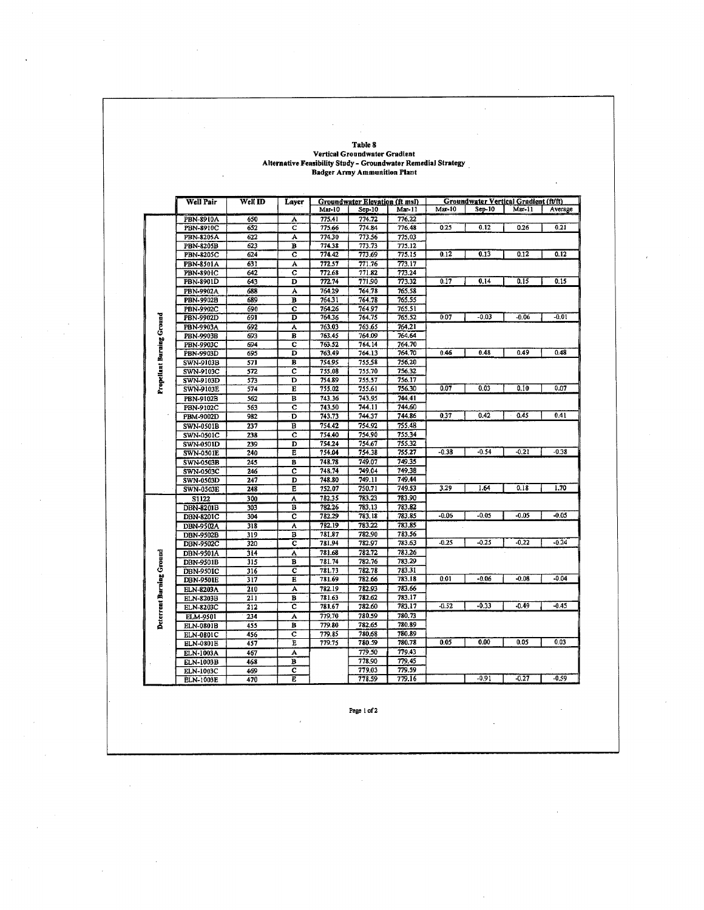### **Table 8 Vertical Groundwater Gradient Alternative Feasibility Study - Groundwater Remedial Strategy Badger Army Ammunition Plant**

J.

|                           | <b>Well Pair</b> | Well ID | Layer                   |                  | Groundwater Elevation (ft msl) |                  |         | Groundwater Vertical Gradient (ft/ft) |         |         |
|---------------------------|------------------|---------|-------------------------|------------------|--------------------------------|------------------|---------|---------------------------------------|---------|---------|
|                           |                  |         |                         | Mar-10           | $Sep-10$                       | Mar-11           | Max-10  | Sep-10                                | Mai-11  | Average |
|                           | PBN-8910A        | 650     | A                       | 775.41           | 774.72                         | 776.22           |         |                                       |         |         |
|                           | PBN-8910C        | 652     | с                       | 775.66           | 774.84                         | 776.48           | 0.25    | 0.12                                  | 0.26    | 0.21    |
|                           | <b>PBN-8205A</b> | 622     | А                       | 774.30           | 773.56                         | 775.03           |         |                                       |         |         |
|                           | <b>PBN-8205B</b> | 623     | B                       | 774.38           | 773.73                         | 775.12           |         |                                       |         |         |
|                           | PBN-8205C        | 624     | c                       | 774.42           | 773.69                         | 775.15           | 0.12    | 0.13                                  | 0.12    | 0.12    |
|                           | PBN-8501A        | 631     | А                       | 772.57           | 771.76                         | 773.17           |         |                                       |         |         |
|                           | PBN-8901C        | 642     | с                       | 772.68           | 771.82                         | 773.24           |         |                                       |         |         |
|                           | PBN-8901D        | 643     | D                       | 772.74           | 771,90                         | 773.32           | 0.17    | 0.14                                  | 0.15    | 0.15    |
|                           | PBN-9902A        | 688     | A                       | 764.29           | 764.78                         | 765.58           |         |                                       |         |         |
|                           | PBN-9902B        | 689     | в                       | 764.31           | 764.78                         | 765.55           |         |                                       |         |         |
|                           | PBN-9902C        | 690     | Ċ                       | 764.26           | 764.97                         | 765.51           |         |                                       |         |         |
|                           | PBN-9902D        | 691     | D                       | 764.36           | 764.75                         | 765.52           | 0.07    | $-0.03$                               | $-0.06$ | $-0.01$ |
|                           | PBN-9903A        | 692     | Ā                       | 763.03           | 763.65                         | 764,21           |         |                                       |         |         |
|                           | PBN-9903B        | 693     | B                       | 763.45           | 764.09                         | 764.64           |         |                                       |         |         |
|                           | PBN-9903C        | 694     | с                       | 763.52           | 764, 14                        | 764.70           |         |                                       |         |         |
|                           | PBN-9903D        | 695     | D                       | 763.49           | 764.13                         | 764.70           | 0.46    | 0.48                                  | 0.49    | 0.48    |
| Propellant Burning Ground | SWN-9103B        | 571     | В                       | 754.95           | 755,58                         | 756.20           |         |                                       |         |         |
|                           | SWN-9103C        | 572     | ĉ                       | 755.08           | 755.70                         | 756.32           |         |                                       |         |         |
|                           | SWN-9103D        | 573     | $\overline{D}$          | 754.89           | 755.57                         | 756.17           |         |                                       |         |         |
|                           | SWN-9103E        | 574     | E                       | 755.02           | 755.61                         | 756.30           | 0.07    | 0.03                                  | 0.10    | 0.07    |
|                           | PBN-9102B        | 562     | B                       | 743.36           | 743.95                         | 744.41           |         |                                       |         |         |
|                           | PBN-9102C        | 563     | Ĉ                       | 743.50           | 744.11                         | 744,60           |         |                                       |         |         |
|                           | PBM-9002D        | 982     | D                       | 743.73           | 744.37                         | 744.86           | 0.37    | 0.42                                  | 0.45    | 0.41    |
|                           | SWN-0501B        | 237     | B                       | 754.42           | 754.92                         | 755,48           |         |                                       |         |         |
|                           | SWN-0501C        | 238     | c                       | 754.40           | 754.90                         | 755.34           |         |                                       |         |         |
|                           | SWN-0501D        | 239     | D                       | 754.24           | 754.67                         | 755.32           |         |                                       |         |         |
|                           | SWN-0501E        | 240     | E                       | 754.04           | 754.38                         | 755.27           | $-0.38$ | $-0.54$                               | $-0.21$ | $-0.38$ |
|                           | SWN-0503B        | 245     | в                       | 748.78           | 749.07                         | 749.35           |         |                                       |         |         |
|                           | SWN-0503C        | 246     | c                       | 748.74           | 749.04                         | 749.38           |         |                                       |         |         |
|                           | SWN-0503D        | 247     | D                       | 748.80           | 749.11                         | 749.44           |         |                                       |         |         |
|                           | SWN-0503E        | 248     | E                       | 752.07           | 750.71                         | 749.53           | 3.29    | 1.64                                  | 0.18    | 1.70    |
|                           | <b>S1122</b>     | 300     | A                       | 782,35           | 783.23                         | 783.90           |         |                                       |         |         |
|                           | DBN-8201B        | 303     | B                       | 782.26           | 783.13                         | 783.82           |         |                                       |         |         |
|                           | DBN-8201C        | 304     | c                       | 782.29           | 783.18                         | 783.85           | $-0.06$ | $-0.05$                               | $-0.05$ | -0.05   |
|                           | DBN-9502A        | 318     | A                       | 782.19           | 783.22                         | 783,85           |         |                                       |         |         |
|                           | DBN-9502B        | 319     | в                       | 781.87           | 782.90                         | 783.56           | $-0.25$ | $-0.25$                               | $-0.22$ | $-0.24$ |
|                           | DBN-9502C        | 320     | ë                       | 781.94           | 782.97                         | 783.63           |         |                                       |         |         |
|                           | DBN-9501A        | 314     | A                       | 781.68           | 782.72                         | 783.26           |         |                                       |         |         |
|                           | DBN-9501B        | 315     | B                       | 781.74           | 782.76                         | 783.29           |         |                                       |         |         |
|                           | DBN-9501C        | 316     | $\overline{\mathbf{c}}$ | 781.73<br>781.69 | 782.78<br>782.66               | 783.31<br>783.18 | 0.01    | $-0.06$                               | $-0.08$ | $-0.04$ |
|                           | <b>DBN-9501E</b> | 317     | Е                       |                  |                                |                  |         |                                       |         |         |
| Deterrent Burning Ground  | <b>ELN-8203A</b> | 210     | A                       | 782.19           | 782.93                         | 783.66           |         |                                       |         |         |
|                           | ELN-8203B        | 211     | B                       | 781.63           | 782.62                         | 783.17           | -0.52   | $-0.33$                               | $-0.49$ | -0.45   |
|                           | ELN-8203C        | 212     | c                       | 781.67           | 782.60                         | 783.17           |         |                                       |         |         |
|                           | ELM-9501         | 234     | Ä                       | 779,70           | 780.59                         | 780,73<br>780.89 |         |                                       |         |         |
|                           | ELN-0801B        | 455     | B                       | 779.80           | 782.65                         | 780.89           |         |                                       |         |         |
|                           | ELN-0801C        | 456     | $\overline{c}$<br>Ē     | 779.85           | 780.68<br>780.59               | 780.78           | 0.05    | 0.00                                  | 0.05    | 0.03    |
|                           | ELN-0801E        | 457     |                         | 779.75           |                                |                  |         |                                       |         |         |
|                           | ELN-1003A        | 467     | A                       |                  | 779.50                         | 779.43           |         |                                       |         |         |
|                           | ELN-1003B        | 468     | B                       |                  | 778.90                         | 779,45           |         |                                       |         |         |
|                           | <b>ELN-1003C</b> | 469     | с                       |                  | 779.03                         | 779.59           |         | $-0.91$                               |         | $-0.59$ |
|                           | <b>ELN-1003E</b> | 470     | E                       |                  | 778.59                         | 779.16           |         |                                       | $-0.27$ |         |

Page 1 of 2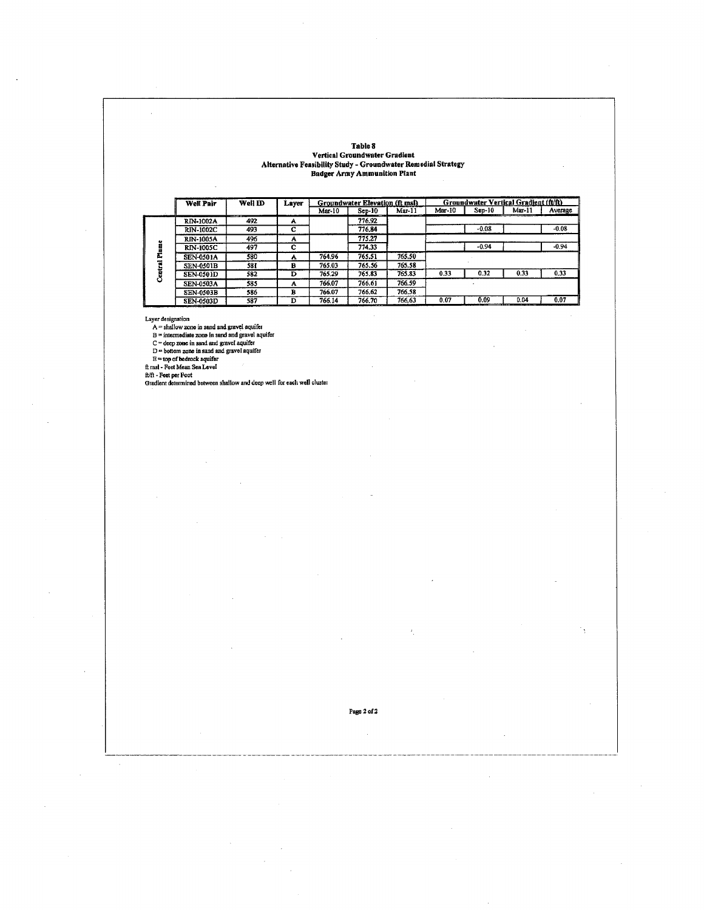**Table 8** 

### **Vertical Groundwater Gradient Alternative Feasibility Study - Groundwater Remedial Strategy Badger Army Ammunition Plant**

|        | <b>Well Pair</b> | Well ID       | Layer |        | Groundwater Elevation (ft msl) |                |        |         | Groundwater Vertical Gradient (ft/ft) |         |
|--------|------------------|---------------|-------|--------|--------------------------------|----------------|--------|---------|---------------------------------------|---------|
|        |                  | ___           |       | Mar-10 | $Sep-10$                       | Mar-11<br>---- | Mar-10 | Sep-10  | Mar-11                                | Average |
|        | RIN-1002A        | 492           | A     |        | 776.92                         |                |        |         |                                       |         |
|        | <b>RIN-1002C</b> | 493           | C     |        | 776.84                         |                |        | $-0.08$ |                                       | $-0.08$ |
|        | <b>RIN-1005A</b> | 496           | А     |        | 775.27                         |                |        |         |                                       |         |
| Ē      | <b>RIN-1005C</b> | 497           | c     |        | 774.33                         |                |        | $-0.94$ |                                       | $-0.94$ |
| Ē      | <b>SEN-0501A</b> | 580           | А     | 764.96 | 765.51                         | 765.50         |        |         |                                       |         |
|        | <b>SEN-0501B</b> | <b>581</b>    | в     | 765.03 | 765.56                         | 765.58         |        |         |                                       |         |
| Centra | <b>SEN-0501D</b> | 582           | D     | 765.29 | 765.83                         | 765.83         | 0.33   | 0.32    | 0.33                                  | 0.33    |
|        | <b>SEN-0503A</b> | 585           | A     | 766.07 | 766.61                         | 766.59         |        |         |                                       |         |
|        | <b>SEN-0503B</b> | 586           | в     | 766.07 | 766.62                         | 766.58         |        |         |                                       |         |
|        | <b>SEN-0503D</b> | 587<br>------ | D     | 766.14 | 766.70                         | 766,63         | 0.07   | 0.09    | 0.04<br>------                        | 0.07    |

l,

Layer designation<br>  $A = \text{shallow zone}$  in sand and gravel aquifer<br>  $B = \text{intermediate zone}$  in sand and gravel aquifer<br>  $C = \text{deep zone}$  in sand and gravel aquifer<br>  $D = \text{bottom zone}$  in sand and gravel aquifer<br>  $E = \text{top of before}$  a quifer<br>  $E = \text{top of before}$  a quifer

Page 2 of 2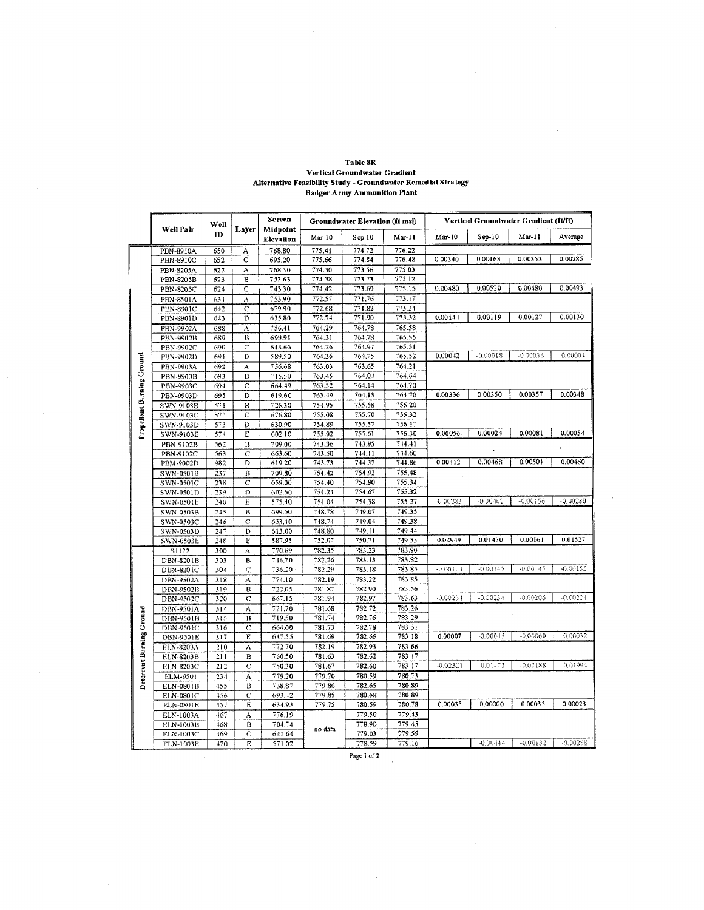|                                  |                        |            |                         | <b>Screen</b>    |                  | Groundwater Elevation (ft msl) |                  |            | Vertical Groundwater Gradient (ft/ft) |            |            |
|----------------------------------|------------------------|------------|-------------------------|------------------|------------------|--------------------------------|------------------|------------|---------------------------------------|------------|------------|
|                                  | Well Palr              | Well       | Layer                   | Midpoint         |                  |                                |                  |            |                                       |            |            |
|                                  |                        | ID         |                         | <b>Elevation</b> | $Mar-10$         | $Sep-10$                       | $Mar-11$         | $Mar-10$   | $Sep-10$                              | $Mar-11$   | Average    |
|                                  | PBN-8910A              | 650        | А                       | 768.80           | 775.41           | 774.72                         | 776.22           |            |                                       |            |            |
|                                  | PBN-8910C              | 652        | C                       | 695,20           | 775.66           | 774.84                         | 776.48           | 0.00340    | 0.00163                               | 0.00353    | 0.00285    |
|                                  | PBN-8205A              | 622        | A                       | 768.30           | 774.30           | 773.56                         | 775.03           |            |                                       |            |            |
|                                  | PBN-8205B              | 623        | B                       | 752.63           | 774.38           | 773.73                         | 775.12           |            |                                       |            |            |
|                                  | PBN-8205C              | 624        | C                       | 743.30           | 774.42           | 773.69                         | 775.15           | 0.00480    | 0.00520                               | 0.00480    | 0.00493    |
|                                  | PBN-8501A              | 631        | A                       | 753.90           | 772.57           | 771.76                         | 773.17           |            |                                       |            |            |
|                                  | PBN-8901C              | 642        | $\mathbf C$             | 679.90           | 772.68           | 771.82                         | 773.24           |            |                                       |            |            |
|                                  | PBN-8901D              | 643        | Đ                       | 635.80           | 772.74           | 771.90                         | 773.32           | 0.00144    | 0.00119                               | 0.00127    | 0.00130    |
|                                  | PBN-9902A              | 688        | A                       | 756.41           | 764.29           | 764.78                         | 765.58           |            |                                       |            |            |
|                                  | PBN-9902B              | 639        | $_{\rm B}$              | 699.91           | 764.31           | 764.78                         | 765.55           |            |                                       |            |            |
|                                  | PBN-9902C              | 690        | $\tilde{C}$             | 643.66           | 764.26           | 764.97                         | 765.51           |            |                                       |            |            |
| <b>Propellant Burning Ground</b> | PBN-9902D              | 691        | D                       | 589.50           | 764.36           | 764.75                         | 765.52           | 0.00042    | $-0.00018$                            | -0.0003.6  | $-0.00004$ |
|                                  | PBN-9903A              | 692        | A                       | 756.68           | 763.03           | 763.65                         | 764.21           |            |                                       |            |            |
|                                  | PBN-9903B              | 693        | B                       | 715.50           | 763.45           | 764,09                         | 764.64           |            |                                       |            |            |
|                                  | PBN-9903C              | 694        | $\overline{c}$          | 664.49           | 763.52           | 764.14                         | 764.70           |            |                                       |            |            |
|                                  | PBN-9903D              | 695        | D                       | 619.60           | 763.49           | 764.13                         | 764.70           | 0.00336    | 0.00350                               | 0.00357    | 0.00348    |
|                                  | SWN-9103B              | 571        | B                       | 726.30           | 754.95           | 755.58                         | 756.20           |            |                                       |            |            |
|                                  | SWN-9103C              | 572        | $\overline{c}$          | 676.80           | 755.08           | 755.70                         | 756.32           |            |                                       |            |            |
|                                  | SWN-9103D              | 573        | D                       | 630.90           | 754.89           | 755.57                         | 756.17           |            |                                       |            |            |
|                                  | SWN-9103E              | 574        | E                       | 602.10           | 755.02           | 755.61                         | 756.30           | 0.00056    | 0.00024                               | 0.00081    | 0.00054    |
|                                  | PBN-9102B              | 562        | 13                      | 709.00           | 743.36           | 743.95                         | 744.41           |            |                                       |            |            |
|                                  | PBN-9102C              | 563        | C                       | 663.60           | 743.50           | 744.11                         | 744.60           |            |                                       |            |            |
|                                  | PBM-9002D              | 982        | D                       | 619.20           | 743.73           | 744.37                         | 744.86           | 0.00412    | 0.00468                               | 0.00501    | 0.00460    |
|                                  | <b>SWN-0501B</b>       | 237        | В                       | 709.80           | 754.42           | 754.92                         | 755.48           |            |                                       |            |            |
|                                  | SWN-0501C              | 238        | $\overline{C}$          | 659.00           | 754.40           | 754,90                         | 755.34           |            |                                       |            |            |
|                                  | SWN-0501D              | 239        | D                       | 602.60           | 754.24           | 754.67                         | 755.32           |            |                                       |            |            |
|                                  | SWN-0501E              | 240        | $\mathbf{E}$            | 575.40           | 754.04           | 754,38                         | 755.27           | -0.00283   | $-0.00402$                            | $-0.00156$ | $-0.00280$ |
|                                  | SWN-0503B              | 245        | $\overline{B}$          | 699.50           | 748.78           | 749.07                         | 749.35           |            |                                       |            |            |
|                                  | SWN-0503C              | 246        | $\mathbf C$             | 653.10           | 748.74           | 749.04                         | 749.38           |            |                                       |            |            |
|                                  | SWN-0503D              | 247        | D                       | 613.00           | 748.80           | 749.11                         | 749.44           | 0.02949    | 0.01470                               | 0.00161    | 0.01527    |
|                                  | <b>SWN-0503E</b>       | 248        | 1                       | 587.95           | 752.07           | 750.71                         | 749.53           |            |                                       |            |            |
|                                  | S1122                  | 300        | $\Lambda$               | 770.69           | 782.35           | 783.23                         | 783.90           |            |                                       |            |            |
|                                  | DBN-8201B              | 303        | B                       | 746,70<br>736.20 | 782.26<br>782.29 | 783.13<br>783.18               | 783.82<br>783.85 | $-0.00174$ | $-0.00145$                            | -0.00145   | $-0.00155$ |
|                                  | DBN-8201C              | 304        | C,                      | 774.10           | 782.19           | 783.22                         | 783.85           |            |                                       |            |            |
|                                  | DBN-9502A              | 318<br>319 | А<br>В                  | 722.05           | 781.87           | 782.90                         | 783.56           |            |                                       |            |            |
|                                  | DBN-9502B<br>DBN-9502C | 320        | с                       | 667.15           | 781.94           | 782.97                         | 783.63           | $-0.00231$ | $-0.00234$                            | $-0.00206$ | $-0.00224$ |
|                                  | DBN-9501A              | 314        | A                       | 771.70           | 781.68           | 782.72                         | 783.26           |            |                                       |            |            |
|                                  | DBN-9501B              | 315        | $\overline{\mathbf{B}}$ | 719.50           | 781.74           | 782.76                         | 783.29           |            |                                       |            |            |
|                                  | DBN-9501C              | 316        | Ċ                       | 664.00           | 781.73           | 782.78                         | 783.31           |            |                                       |            |            |
|                                  | DBN-9501E              | 317        | E                       | 637.55           | 781.69           | 782.66                         | 783.18           | 0.00007    | $-0.00045$                            | -0.00060   | $-0.00032$ |
|                                  | ELN-8203A              | 310        | A                       | 772.70           | 782.19           | 782.93                         | 783.66           |            |                                       |            |            |
|                                  | ELN-8203B              | 211        | B                       | 760.50           | 781.63           | 782.62                         | 783.17           |            |                                       |            |            |
|                                  | ELN-8203C              | 212        | Ċ                       | 750.30           | 781.67           | 782.60                         | 783.17           | $-0.02321$ | $-0.01473$                            | -0.02188   | $-0.01994$ |
| Deterrent Burning Ground         | ELM-9501               | 234        | A                       | 779.20           | 779.70           | 780.59                         | 780.73           |            |                                       |            |            |
|                                  | ELN-0801B              | 455        | B                       | 738.87           | 779.80           | 782.65                         | 780.89           |            |                                       |            |            |
|                                  | ELN-0801C              | 456        | Ċ                       | 693.42           | 779.85           | 780.68                         | 780 89           |            |                                       |            |            |
|                                  | ELN-0801E              | 457        | E                       | 634.93           | 779.75           | 780.59                         | 780.78           | 0.00035    | 0.00000                               | 0.00035    | 0.00023    |
|                                  | ELN-1003A              | 467        | А                       | 776.19           |                  | 779.50                         | 779.43           |            |                                       |            |            |
|                                  | ELN-1003B              | 468        | B                       | 704.74           |                  | 778.90                         | 779.45           |            |                                       |            |            |
|                                  | ELN-1003C              | 469        | Ċ                       | 641.64           | no data          | 779.03                         | 779.59           |            |                                       |            |            |
|                                  | ELN-1003E              | 470        | E                       | 571.02           |                  | 778.59                         | 779.16           |            | $-0.00444$                            | $-0.00132$ | $-0.00288$ |

# Table 8R Vertical Groundwater Gradient<br>Alternative Feasibility Study - Groundwater Remedial Strategy<br>Badger Army Ammunition Plant

Page 1 of  $2\,$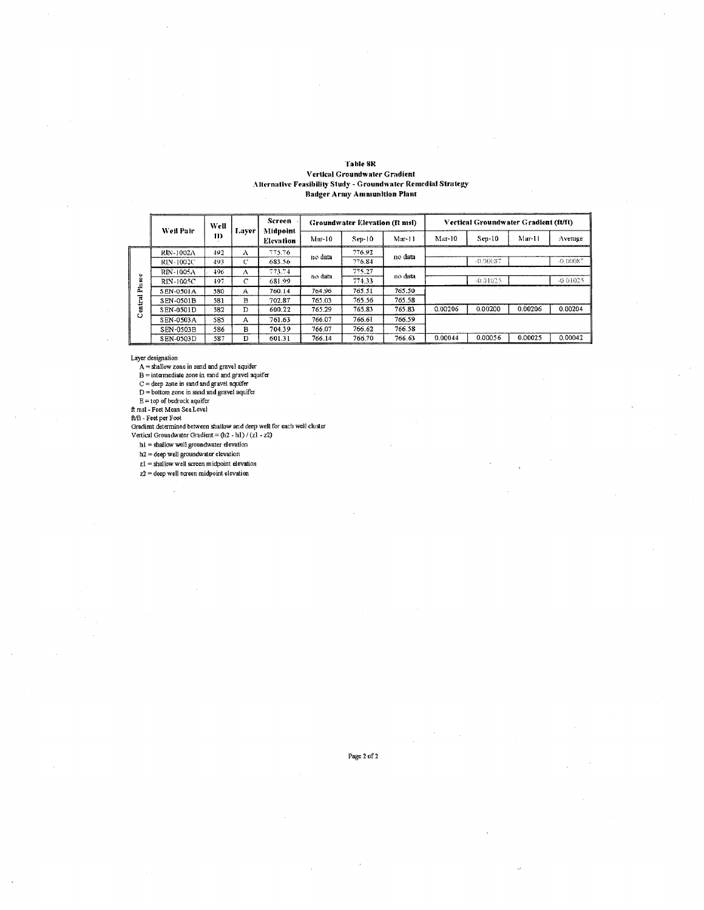#### **Table 8R Vertical Groundwater Gradient** Alternative Feasibility Study - Groundwater Remedial Strategy **Badger Army Amnunition Plant**

|        | Well<br>Weil Pair<br>11 |      | Screen<br>Midpoint |                  | Groundwater Elevation (ft msl) |          |          | Vertical Groundwater Gradient (ft/ft) |            |         |          |
|--------|-------------------------|------|--------------------|------------------|--------------------------------|----------|----------|---------------------------------------|------------|---------|----------|
|        |                         |      | Laver              | <b>Elevation</b> | $Mar-10$                       | $Sep-10$ | $Mar-11$ | Mar-10                                | Sep-10     | Mar-11  | Average  |
|        | RIN-1002A               | 492  | A                  | 775.76           | no data                        | 776.92   | no data  |                                       |            |         |          |
|        | RIN-1002C               | 493  | c                  | 683.56           |                                | 776.84   |          |                                       | $-0.90087$ |         | -0.00087 |
| ۰      | RIN-1005A               | 496. | А                  | 773.74           | no data                        | 775.27   | no data  |                                       |            |         |          |
| ≘      | RIN-1005C               | 497  | $\mathbb{C}$       | 681.99           |                                | 774.33   |          |                                       | $-0.01025$ |         | -0.01025 |
| 톸      | SEN-0501A               | 580  | $\mathbf{A}$       | 760.14           | 764.96                         | 765.51   | 765.50   |                                       |            |         |          |
| ಡ<br>ä | SEN-0501B               | 581  | в                  | 702.87           | 765.03                         | 765.56   | 765.58   |                                       |            |         |          |
| 뵹      | SEN-0501D               | 582  | D                  | 600.22           | 765.29                         | 765.83   | 765.83   | 0.00206                               | 0.00200    | 0.00206 | 0.00204  |
| Ο      | SEN-0503A               | 585  | A                  | 761.63           | 766.07                         | 766.61   | 766.59   |                                       |            |         |          |
|        | SEN-0503B               | 586  | B                  | 704.39           | 766.07                         | 766.62   | 766.58   |                                       |            |         |          |
|        | SEN-0503D               | 587  | D                  | 601.31           | 766.14                         | 766.70   | 766.63   | 0.00044                               | 0.00056    | 0.00025 | 0.00042  |

Layer designation

 $A =$  shallow zone in sand and gravel aquifer<br>  $B =$  intermediate zone in sand and gravel aquifer<br>  $C =$  deep zone in sand and gravel aquifer<br>  $D =$  bottom zone in sand and gravel aquifer<br>  $D =$  bottom zone in sand and gravel

 $E = top of **bedrock** a  
quifer  
ft msl - **Feet Mean Sea Level**$ 

L.

Anis. The termined between shallow and deep well for each well cluster<br>Gradient determined between shallow and deep well for each well cluster<br>Vertical Groundwater Gradient = (h2 - h1) / (z1 - z2)

h1 = shallow well groundwater elevation

 $h2 =$  deep well groundwater elevation

 $z1 =$  shallow well screen midpoint elevation

 $z2 =$  deep well screen midpoint elevation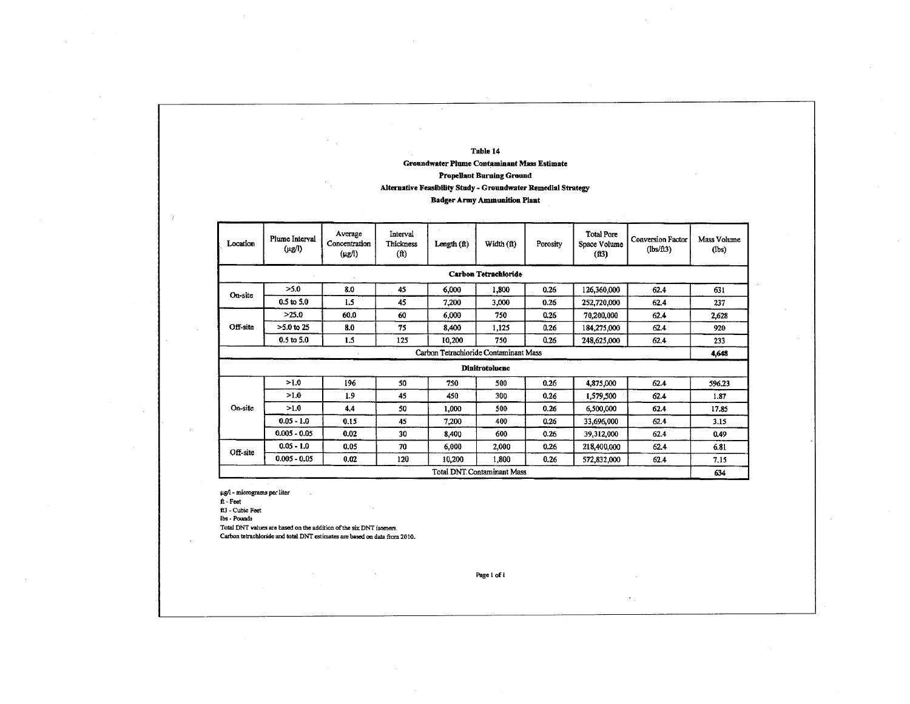### **Table 14 Groundwater Plume Contaminant Mass Estimate**

### **Propellant Burning Ground**

### **Alternative Feasibility Study - Groundwater Remedial Strategy**

### **Badger Army Ammunition Plant**

| Location                                                                        | Plume Interval<br>$(\mu g/l)$     | Average<br>Concentration<br>$(\mu g/l)$ | Interval<br><b>Thickness</b><br>$(f)$ | Length $(ft)$ | Width $(ft)$                          | Porosity | <b>Total Pore</b><br>Space Volume<br>(fB) | <b>Conversion Factor</b><br>(lbs/ft3) | Mass Volume<br>$(\text{lbs})$ |  |  |
|---------------------------------------------------------------------------------|-----------------------------------|-----------------------------------------|---------------------------------------|---------------|---------------------------------------|----------|-------------------------------------------|---------------------------------------|-------------------------------|--|--|
|                                                                                 |                                   |                                         |                                       |               | Carbon Tetrachloride                  |          |                                           |                                       |                               |  |  |
| On-site                                                                         | >5.0                              | 8.0                                     | 45                                    | 6,000         | 1,800                                 | 0.26     | 126,360,000                               | 62.4                                  | 631                           |  |  |
|                                                                                 | $0.5$ to $5.0$                    | 1.5                                     | 45                                    | 7,200         | 3,000                                 | 0.26     | 252,720,000                               | 62.4                                  | 237                           |  |  |
|                                                                                 | >25.0                             | 60.0                                    | 60                                    | 6,000         | 750                                   | 0.26     | 70,200,000                                | 62.4                                  | 2,628                         |  |  |
| Off-site                                                                        | $>5.0$ to 25                      | 8.0                                     | 75                                    | 8,400         | 1,125                                 | 0.26     | 184,275,000                               | 62.4                                  | 920                           |  |  |
|                                                                                 | $0.5$ to $5.0$                    | 1.5                                     | 125                                   | 10,200        | 750                                   | 0.26     | 248,625,000                               | 62.4                                  | 233                           |  |  |
|                                                                                 |                                   |                                         |                                       |               | Carbon Tetrachloride Contaminant Mass |          |                                           |                                       | 4,648                         |  |  |
|                                                                                 |                                   |                                         |                                       |               | <b>Dinitrotoluene</b>                 |          |                                           |                                       |                               |  |  |
|                                                                                 | >1.0                              | 196                                     | 50                                    | 750           | 500                                   | 0.26     | 4,875,000                                 | 62.4                                  | 596.23                        |  |  |
|                                                                                 | >1.0                              | 1.9                                     | 45                                    | 450           | 300                                   | 0.26     | 1,579,500                                 | 62.4                                  | 1.87                          |  |  |
| On-site                                                                         | >1.0                              | 4.4                                     | 50                                    | 1.000         | 500                                   | 0.26     | 6,500,000                                 | 62.4                                  | 17.85                         |  |  |
|                                                                                 | $0.05 - 1.0$                      | 0.15                                    | 45                                    | 7,200         | 400                                   | 0.26     | 33,696,000                                | 62.4                                  | 3.15                          |  |  |
|                                                                                 | $0.005 - 0.05$                    | 0.02                                    | 30                                    | 8,400         | 600                                   | 0.26     | 39,312,000                                | 62.4                                  | 0.49                          |  |  |
| Off-site                                                                        | $0.05 - 1.0$                      | 0.05                                    | 70                                    | 6,000         | 2,000                                 | 0.26     | 218,400,000                               | 62.4                                  | 6.81                          |  |  |
| $0.005 - 0.05$<br>0.02<br>1,800<br>120<br>10,200<br>0.26<br>572,832,000<br>62.4 |                                   |                                         |                                       |               |                                       |          |                                           |                                       |                               |  |  |
|                                                                                 | <b>Total DNT Contaminant Mass</b> |                                         |                                       |               |                                       |          |                                           |                                       |                               |  |  |

ug/1- micrograms per Liter

ft - Feet

ft3 - Cubic Feet

lbs - Pounds

Total DNT values are based on the addition of the six DNT isomers.

Carbon tetrachloride and total DNT estimates are based on data from 2010.

Page 1 of I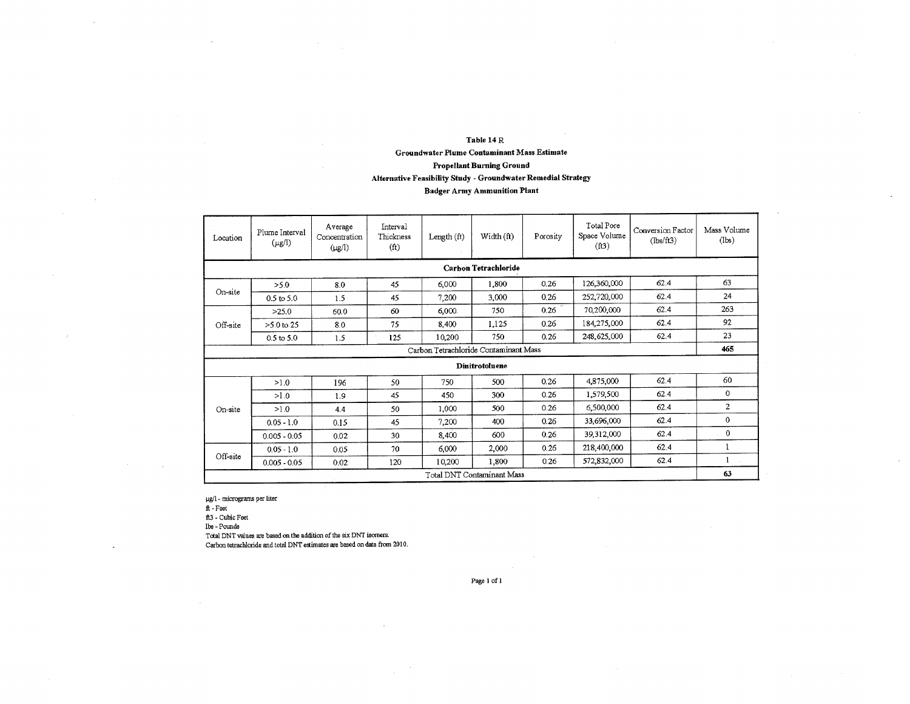### Table 14 R Groundwater Plume Contaminant Mass **Estimate**  Propellant Burning Ground Alternative Feasibility Study - Groundwater Remedial Strategy Badger Army Ammunition Plant

| Location                              | Plume Interval<br>$(\mu g/l)$ | Average<br>Concentration<br>$(\mu g/l)$ | Interval<br>Thickness<br>(f <sub>t</sub> ) | Length $(ft)$ | Width (ft)                  | Porosity | Total Pore<br>Space Volume<br>(f13) | Conversion Factor<br>(lbs/ft3) | Mass Volume<br>(lbs) |  |  |  |
|---------------------------------------|-------------------------------|-----------------------------------------|--------------------------------------------|---------------|-----------------------------|----------|-------------------------------------|--------------------------------|----------------------|--|--|--|
|                                       |                               |                                         |                                            |               | <b>Carbon Tetrachloride</b> |          |                                     |                                |                      |  |  |  |
|                                       | >5.0                          | 8.0                                     | 45                                         | 6,000         | 1,800                       | 0.26     | 126,360,000                         | 62.4                           | 63                   |  |  |  |
| On-site                               | $0.5$ to $5.0$                | 1.5                                     | 45                                         | 7,200         | 3,000                       | 0.26     | 252,720,000                         | 62.4                           | 24                   |  |  |  |
|                                       | >25.0                         | 60.0                                    | 60                                         | 6,000         | 750                         | 0.26     | 70,200,000                          | 62.4                           | 263                  |  |  |  |
| Off-site                              | $>5.0$ to 25                  | 8.0                                     | 75                                         | 8,400         | 1,125                       | 0.26     | 184,275,000                         | 62.4                           | 92                   |  |  |  |
|                                       | $0.5$ to $5.0$                | 1.5                                     | 125                                        | 10,200        | 750                         | 0.26     | 248,625,000                         | 62.4                           | 23                   |  |  |  |
| Carbon Tetrachloride Contaminant Mass |                               |                                         |                                            |               |                             |          |                                     |                                |                      |  |  |  |
|                                       |                               |                                         |                                            |               | Dinitrotoluene              |          |                                     |                                |                      |  |  |  |
|                                       | >1.0                          | 196                                     | 50                                         | 750           | 500                         | 0.26     | 4,875,000                           | 62.4                           | 60                   |  |  |  |
|                                       | 0.1<                          | 1.9                                     | 45                                         | 450           | 300                         | 0.26     | 1,579,500                           | 62.4                           | $\mathbf 0$          |  |  |  |
| On-site                               | >1.0                          | 4.4                                     | 50                                         | 1,000         | 500                         | 0.26     | 6,500,000                           | 62.4                           | $\overline{2}$       |  |  |  |
|                                       | $0.05 - 1.0$                  | 0.15                                    | 45                                         | 7,200         | 400                         | 0.26     | 33,696,000                          | 62.4                           | $\mathbf{0}$         |  |  |  |
|                                       | $0.005 - 0.05$                | 0.02                                    | 30                                         | 8,400         | 600                         | 0.26     | 39,312,000                          | 62.4                           | $\mathbf 0$          |  |  |  |
|                                       | $0.05 - 1.0$                  | 0.05                                    | 70                                         | 6,000         | 2,000                       | 0.26     | 218,400,000                         | 62.4                           | 1                    |  |  |  |
| Off-site                              | $0.005 - 0.05$                | 0.02                                    | 120                                        | 10,200        | 1,800                       | 0.26     | 572,832,000                         | 62.4                           | 1                    |  |  |  |
|                                       | Total DNT Contaminant Mass    |                                         |                                            |               |                             |          |                                     |                                |                      |  |  |  |

 $\mu$ g/1 - micrograms per liter

ft - Feet

ft3 - Cubic Feet

lbs - Pounds

Total DNT values axe based on the addition of the six DNT isomers.

Carbon tetrachloride and total DNT eaimates are based on data from 2010.

Page I of 1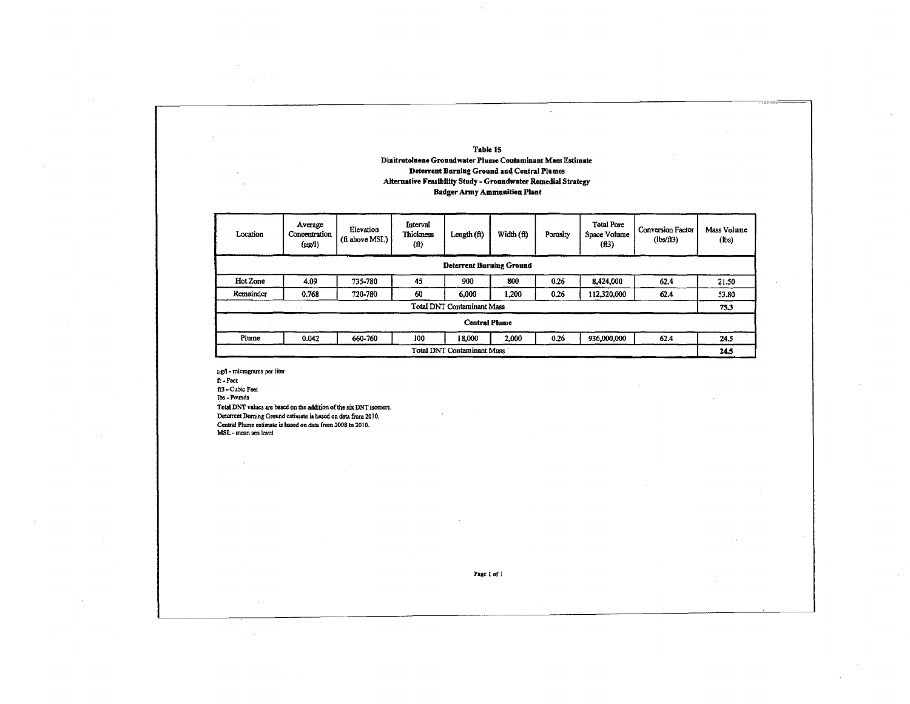#### **Table 15 Dinitrotolneue Groundwater Plume Contaminant Mass Estimate Deterrent Burning Ground and Central Plumes Alternative Feasibility Study - Groundwater Remedial Strategy Badger Army Ammunition Plant**

 $\epsilon$ 

| Location  | Average<br>Concentration<br>$(\mu$ g/l) | Elevation<br>(ft above MSL) | Interval<br>Thickness<br>(f) | Length $(f)$                      | Width (ft) | Porosity | <b>Total Pore</b><br>Space Volume<br>(f13) | <b>Conversion Factor</b><br>(lbs/ft3) | Mass Volume<br>(lbs) |  |
|-----------|-----------------------------------------|-----------------------------|------------------------------|-----------------------------------|------------|----------|--------------------------------------------|---------------------------------------|----------------------|--|
|           |                                         |                             |                              | <b>Deterrent Burning Ground</b>   |            |          |                                            |                                       |                      |  |
| Hot Zone  | 4.09                                    | 735-780                     | 45                           | 900                               | 800        | 0.26     | 8,424,000                                  | 62.4                                  | 21.50                |  |
| Remainder | 0.768                                   | 720-780                     | 60                           | 6.000                             | 1,200      | 0.26     | 112,320,000                                | 62.4                                  | 53.80                |  |
|           |                                         |                             |                              | <b>Total DNT Contaminant Mass</b> |            |          |                                            |                                       | 75.3                 |  |
|           |                                         |                             |                              | <b>Central Plume</b>              |            |          |                                            |                                       |                      |  |
| Plume     | 0.042                                   | 660-760                     | 100                          | 18,000                            | 2,000      | 0.26     | 936,000,000                                | 62.4                                  | 24.5                 |  |
|           | <b>Total DNT Contaminant Mass</b>       |                             |                              |                                   |            |          |                                            |                                       |                      |  |

41- micrograms per liter

ft - Feet

ft3 - Cubic Feet the - Pounds

Total DNT values are based on the addition of the six DNT isomers. Deterrent Burning **Ground** estimate is based on data from 2010. Central Plume estimate is based on data from 2008 to 2010. MSL - mean sea level

Page I of I